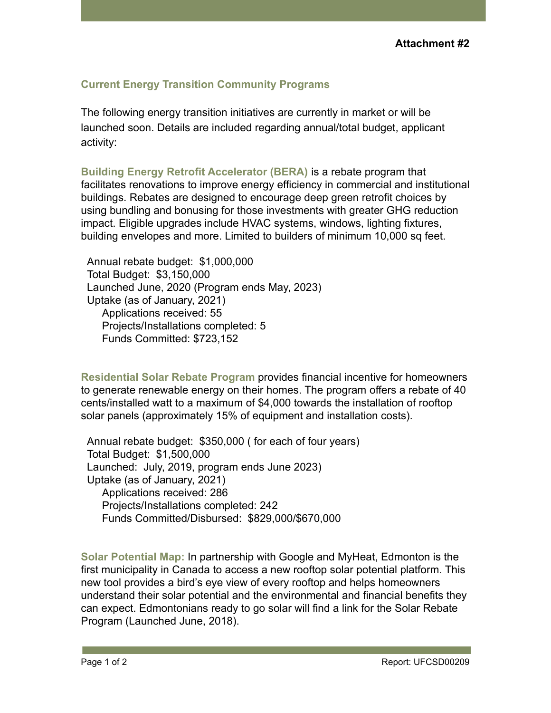## **Current Energy Transition Community Programs**

The following energy transition initiatives are currently in market or will be launched soon. Details are included regarding annual/total budget, applicant activity:

**Building Energy Retrofit Accelerator (BERA)** is a rebate program that facilitates renovations to improve energy efficiency in commercial and institutional buildings. Rebates are designed to encourage deep green retrofit choices by using bundling and bonusing for those investments with greater GHG reduction impact. Eligible upgrades include HVAC systems, windows, lighting fixtures, building envelopes and more. Limited to builders of minimum 10,000 sq feet.

Annual rebate budget: \$1,000,000 Total Budget: \$3,150,000 Launched June, 2020 (Program ends May, 2023) Uptake (as of January, 2021) Applications received: 55 Projects/Installations completed: 5 Funds Committed: \$723,152

**Residential Solar Rebate Program** provides financial incentive for homeowners to generate renewable energy on their homes. The program offers a rebate of 40 cents/installed watt to a maximum of \$4,000 towards the installation of rooftop solar panels (approximately 15% of equipment and installation costs).

Annual rebate budget: \$350,000 ( for each of four years) Total Budget: \$1,500,000 Launched: July, 2019, program ends June 2023) Uptake (as of January, 2021) Applications received: 286 Projects/Installations completed: 242 Funds Committed/Disbursed: \$829,000/\$670,000

**Solar Potential Map:** In partnership with Google and MyHeat, Edmonton is the first municipality in Canada to access a new rooftop solar potential platform. This new tool provides a bird's eye view of every rooftop and helps homeowners understand their solar potential and the environmental and financial benefits they can expect. Edmontonians ready to go solar will find a link for the Solar Rebate Program (Launched June, 2018).